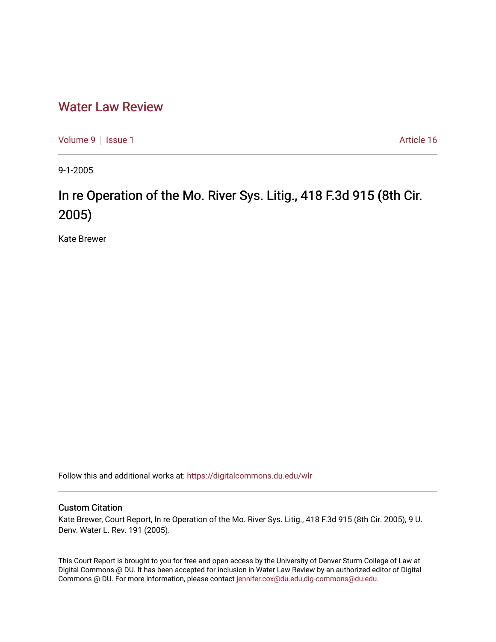## [Water Law Review](https://digitalcommons.du.edu/wlr)

[Volume 9](https://digitalcommons.du.edu/wlr/vol9) | [Issue 1](https://digitalcommons.du.edu/wlr/vol9/iss1) Article 16

9-1-2005

# In re Operation of the Mo. River Sys. Litig., 418 F.3d 915 (8th Cir. 2005)

Kate Brewer

Follow this and additional works at: [https://digitalcommons.du.edu/wlr](https://digitalcommons.du.edu/wlr?utm_source=digitalcommons.du.edu%2Fwlr%2Fvol9%2Fiss1%2F16&utm_medium=PDF&utm_campaign=PDFCoverPages) 

### Custom Citation

Kate Brewer, Court Report, In re Operation of the Mo. River Sys. Litig., 418 F.3d 915 (8th Cir. 2005), 9 U. Denv. Water L. Rev. 191 (2005).

This Court Report is brought to you for free and open access by the University of Denver Sturm College of Law at Digital Commons @ DU. It has been accepted for inclusion in Water Law Review by an authorized editor of Digital Commons @ DU. For more information, please contact [jennifer.cox@du.edu,dig-commons@du.edu.](mailto:jennifer.cox@du.edu,dig-commons@du.edu)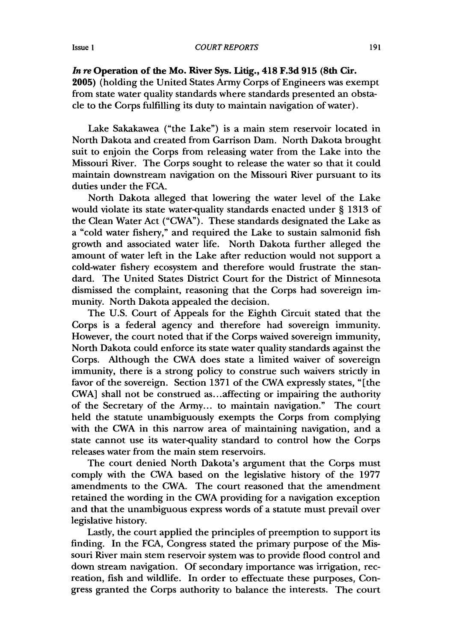#### Issue **I**

*In re* **Operation of the Mo. River Sys. Litig., 418 F.3d 915 (8th Cir.**

**2005)** (holding the United States Army Corps of Engineers was exempt from state water quality standards where standards presented an obstacle to the Corps fulfilling its duty to maintain navigation of water).

Lake Sakakawea ("the Lake") is a main stem reservoir located in North Dakota and created from Garrison Dam. North Dakota brought suit to enjoin the Corps from releasing water from the Lake into the Missouri River. The Corps sought to release the water so that it could maintain downstream navigation on the Missouri River pursuant to its duties under the FCA.

North Dakota alleged that lowering the water level of the Lake would violate its state water-quality standards enacted under § 1313 of the Clean Water Act ("CWA"). These standards designated the Lake as a "cold water fishery," and required the Lake to sustain salmonid fish growth and associated water life. North Dakota further alleged the amount of water left in the Lake after reduction would not support a cold-water fishery ecosystem and therefore would frustrate the standard. The United States District Court for the District of Minnesota dismissed the complaint, reasoning that the Corps had sovereign immunity. North Dakota appealed the decision.

The U.S. Court of Appeals for the Eighth Circuit stated that the Corps is a federal agency and therefore had sovereign immunity. However, the court noted that if the Corps waived sovereign immunity, North Dakota could enforce its state water quality standards against the Corps. Although the CWA does state a limited waiver of sovereign immunity, there is a strong policy to construe such waivers strictly in favor of the sovereign. Section 1371 of the CWA expressly states, "[the CWA] shall not be construed as.. .affecting or impairing the authority of the Secretary of the Army... to maintain navigation." The court held the statute unambiguously exempts the Corps from complying with the CWA in this narrow area of maintaining navigation, and a state cannot use its water-quality standard to control how the Corps releases water from the main stem reservoirs.

The court denied North Dakota's argument that the Corps must comply with the CWA based on the legislative history of the 1977 amendments to the CWA. The court reasoned that the amendment retained the wording in the CWA providing for a navigation exception and that the unambiguous express words of a statute must prevail over legislative history.

Lastly, the court applied the principles of preemption to support its finding. In the FCA, Congress stated the primary purpose of the Missouri River main stem reservoir system was to provide flood control and down stream navigation. Of secondary importance was irrigation, recreation, fish and wildlife. In order to effectuate these purposes, Congress granted the Corps authority to balance the interests. The court